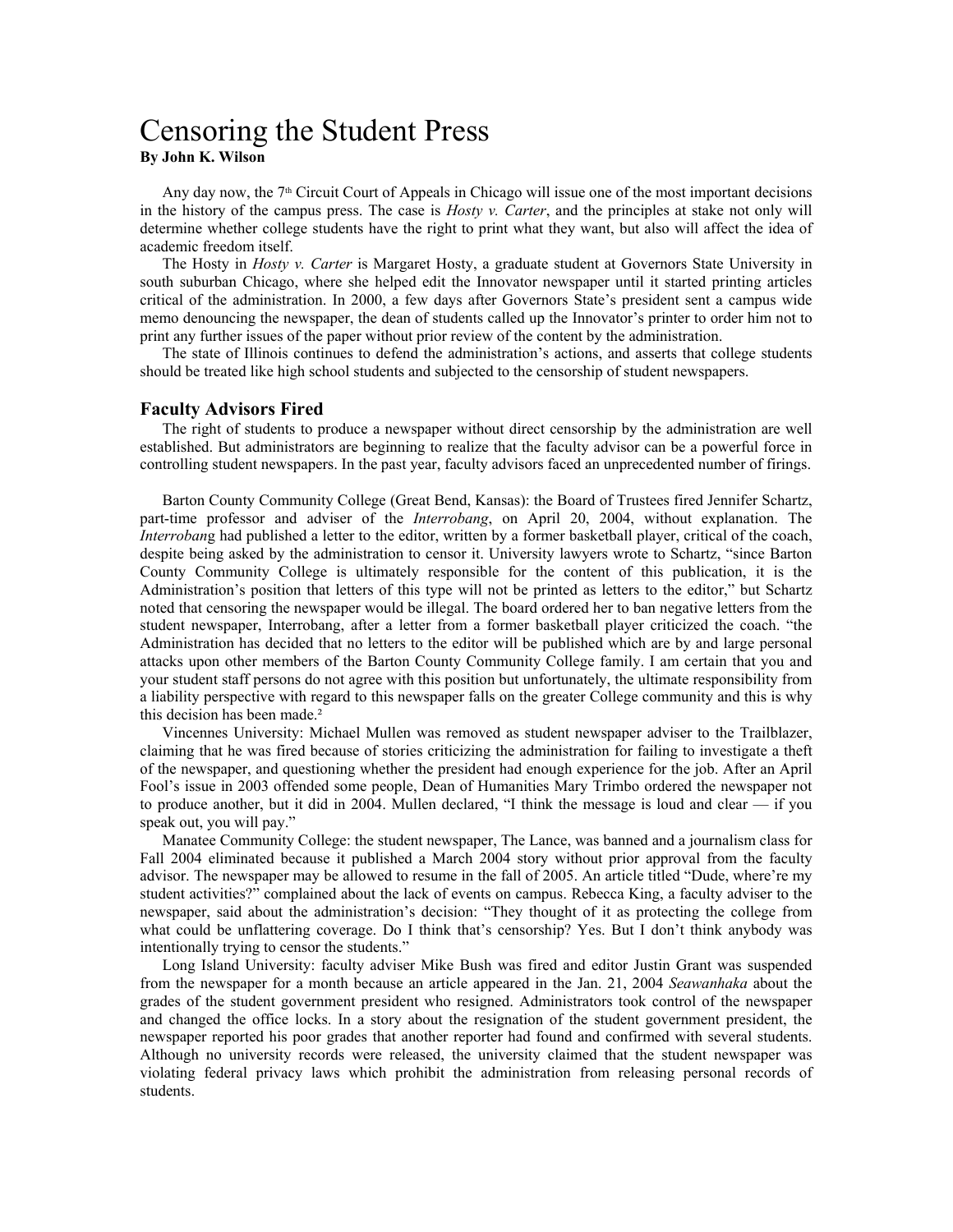# Censoring the Student Press **By John K. Wilson**

Any day now, the 7th Circuit Court of Appeals in Chicago will issue one of the most important decisions in the history of the campus press. The case is *Hosty v. Carter*, and the principles at stake not only will determine whether college students have the right to print what they want, but also will affect the idea of academic freedom itself.

The Hosty in *Hosty v. Carter* is Margaret Hosty, a graduate student at Governors State University in south suburban Chicago, where she helped edit the Innovator newspaper until it started printing articles critical of the administration. In 2000, a few days after Governors State's president sent a campus wide memo denouncing the newspaper, the dean of students called up the Innovator's printer to order him not to print any further issues of the paper without prior review of the content by the administration.

The state of Illinois continues to defend the administration's actions, and asserts that college students should be treated like high school students and subjected to the censorship of student newspapers.

#### **Faculty Advisors Fired**

The right of students to produce a newspaper without direct censorship by the administration are well established. But administrators are beginning to realize that the faculty advisor can be a powerful force in controlling student newspapers. In the past year, faculty advisors faced an unprecedented number of firings.

Barton County Community College (Great Bend, Kansas): the Board of Trustees fired Jennifer Schartz, part-time professor and adviser of the *Interrobang*, on April 20, 2004, without explanation. The *Interroban*g had published a letter to the editor, written by a former basketball player, critical of the coach, despite being asked by the administration to censor it. University lawyers wrote to Schartz, "since Barton County Community College is ultimately responsible for the content of this publication, it is the Administration's position that letters of this type will not be printed as letters to the editor," but Schartz noted that censoring the newspaper would be illegal. The board ordered her to ban negative letters from the student newspaper, Interrobang, after a letter from a former basketball player criticized the coach. "the Administration has decided that no letters to the editor will be published which are by and large personal attacks upon other members of the Barton County Community College family. I am certain that you and your student staff persons do not agree with this position but unfortunately, the ultimate responsibility from a liability perspective with regard to this newspaper falls on the greater College community and this is why this decision has been made.²

Vincennes University: Michael Mullen was removed as student newspaper adviser to the Trailblazer, claiming that he was fired because of stories criticizing the administration for failing to investigate a theft of the newspaper, and questioning whether the president had enough experience for the job. After an April Fool's issue in 2003 offended some people, Dean of Humanities Mary Trimbo ordered the newspaper not to produce another, but it did in 2004. Mullen declared, "I think the message is loud and clear — if you speak out, you will pay."

Manatee Community College: the student newspaper, The Lance, was banned and a journalism class for Fall 2004 eliminated because it published a March 2004 story without prior approval from the faculty advisor. The newspaper may be allowed to resume in the fall of 2005. An article titled "Dude, where're my student activities?" complained about the lack of events on campus. Rebecca King, a faculty adviser to the newspaper, said about the administration's decision: "They thought of it as protecting the college from what could be unflattering coverage. Do I think that's censorship? Yes. But I don't think anybody was intentionally trying to censor the students."

Long Island University: faculty adviser Mike Bush was fired and editor Justin Grant was suspended from the newspaper for a month because an article appeared in the Jan. 21, 2004 *Seawanhaka* about the grades of the student government president who resigned. Administrators took control of the newspaper and changed the office locks. In a story about the resignation of the student government president, the newspaper reported his poor grades that another reporter had found and confirmed with several students. Although no university records were released, the university claimed that the student newspaper was violating federal privacy laws which prohibit the administration from releasing personal records of students.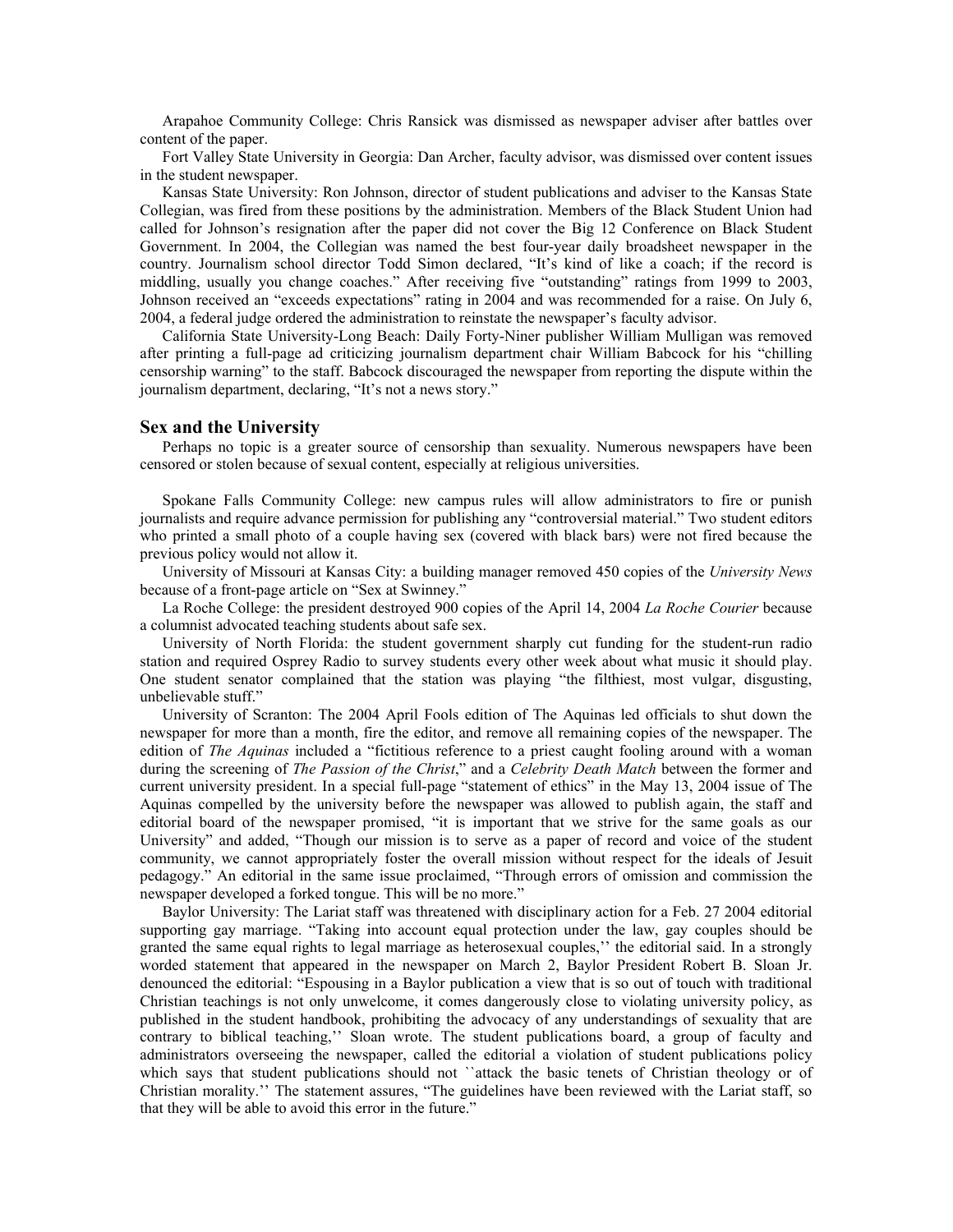Arapahoe Community College: Chris Ransick was dismissed as newspaper adviser after battles over content of the paper.

Fort Valley State University in Georgia: Dan Archer, faculty advisor, was dismissed over content issues in the student newspaper.

Kansas State University: Ron Johnson, director of student publications and adviser to the Kansas State Collegian, was fired from these positions by the administration. Members of the Black Student Union had called for Johnson's resignation after the paper did not cover the Big 12 Conference on Black Student Government. In 2004, the Collegian was named the best four-year daily broadsheet newspaper in the country. Journalism school director Todd Simon declared, "It's kind of like a coach; if the record is middling, usually you change coaches." After receiving five "outstanding" ratings from 1999 to 2003, Johnson received an "exceeds expectations" rating in 2004 and was recommended for a raise. On July 6, 2004, a federal judge ordered the administration to reinstate the newspaper's faculty advisor.

California State University-Long Beach: Daily Forty-Niner publisher William Mulligan was removed after printing a full-page ad criticizing journalism department chair William Babcock for his "chilling censorship warning" to the staff. Babcock discouraged the newspaper from reporting the dispute within the journalism department, declaring, "It's not a news story."

### **Sex and the University**

Perhaps no topic is a greater source of censorship than sexuality. Numerous newspapers have been censored or stolen because of sexual content, especially at religious universities.

Spokane Falls Community College: new campus rules will allow administrators to fire or punish journalists and require advance permission for publishing any "controversial material." Two student editors who printed a small photo of a couple having sex (covered with black bars) were not fired because the previous policy would not allow it.

University of Missouri at Kansas City: a building manager removed 450 copies of the *University News*  because of a front-page article on "Sex at Swinney."

La Roche College: the president destroyed 900 copies of the April 14, 2004 *La Roche Courier* because a columnist advocated teaching students about safe sex.

University of North Florida: the student government sharply cut funding for the student-run radio station and required Osprey Radio to survey students every other week about what music it should play. One student senator complained that the station was playing "the filthiest, most vulgar, disgusting, unbelievable stuff."

University of Scranton: The 2004 April Fools edition of The Aquinas led officials to shut down the newspaper for more than a month, fire the editor, and remove all remaining copies of the newspaper. The edition of *The Aquinas* included a "fictitious reference to a priest caught fooling around with a woman during the screening of *The Passion of the Christ*," and a *Celebrity Death Match* between the former and current university president. In a special full-page "statement of ethics" in the May 13, 2004 issue of The Aquinas compelled by the university before the newspaper was allowed to publish again, the staff and editorial board of the newspaper promised, "it is important that we strive for the same goals as our University" and added, "Though our mission is to serve as a paper of record and voice of the student community, we cannot appropriately foster the overall mission without respect for the ideals of Jesuit pedagogy." An editorial in the same issue proclaimed, "Through errors of omission and commission the newspaper developed a forked tongue. This will be no more."

Baylor University: The Lariat staff was threatened with disciplinary action for a Feb. 27 2004 editorial supporting gay marriage. "Taking into account equal protection under the law, gay couples should be granted the same equal rights to legal marriage as heterosexual couples,'' the editorial said. In a strongly worded statement that appeared in the newspaper on March 2, Baylor President Robert B. Sloan Jr. denounced the editorial: "Espousing in a Baylor publication a view that is so out of touch with traditional Christian teachings is not only unwelcome, it comes dangerously close to violating university policy, as published in the student handbook, prohibiting the advocacy of any understandings of sexuality that are contrary to biblical teaching,'' Sloan wrote. The student publications board, a group of faculty and administrators overseeing the newspaper, called the editorial a violation of student publications policy which says that student publications should not "attack the basic tenets of Christian theology or of Christian morality.'' The statement assures, "The guidelines have been reviewed with the Lariat staff, so that they will be able to avoid this error in the future."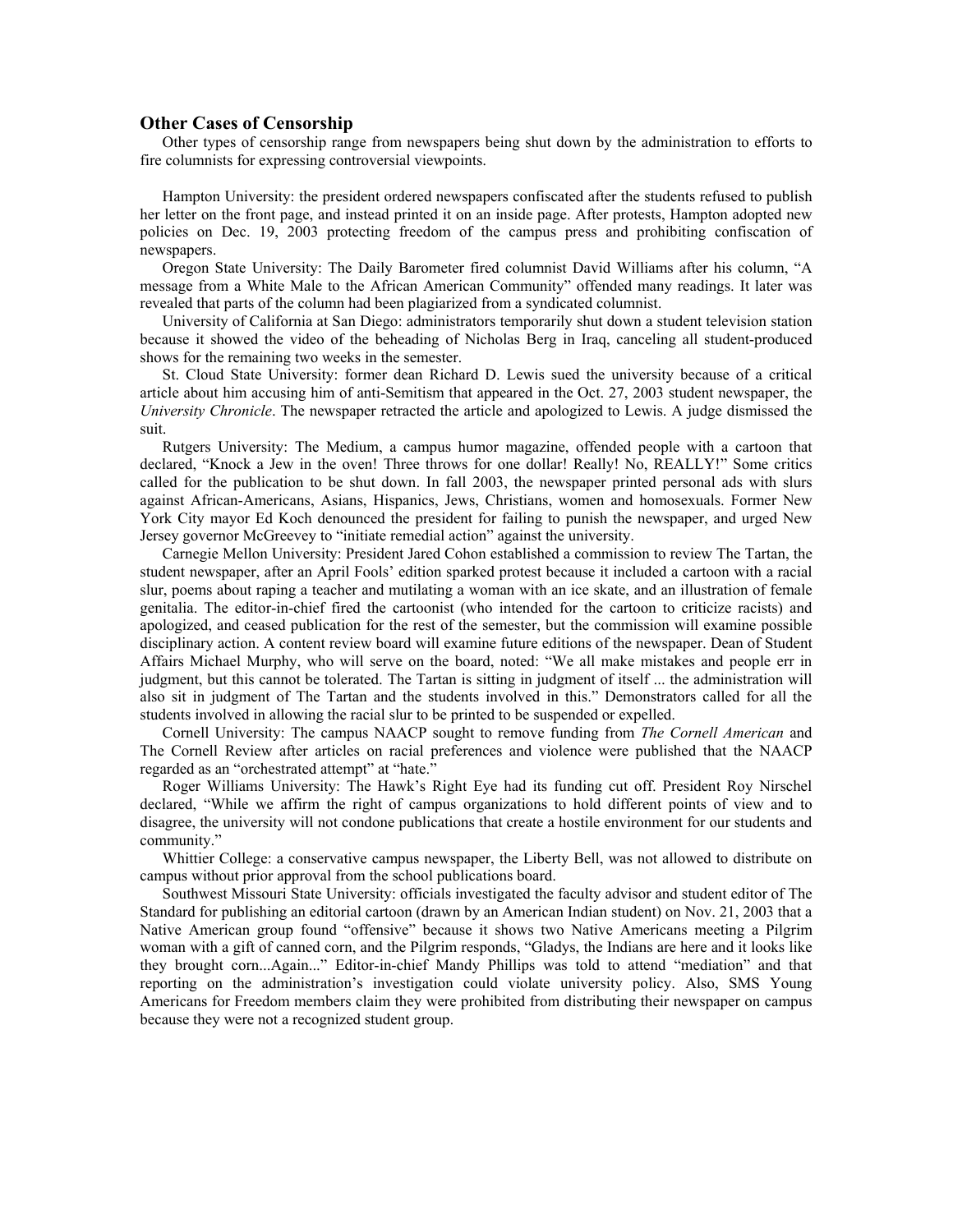## **Other Cases of Censorship**

Other types of censorship range from newspapers being shut down by the administration to efforts to fire columnists for expressing controversial viewpoints.

Hampton University: the president ordered newspapers confiscated after the students refused to publish her letter on the front page, and instead printed it on an inside page. After protests, Hampton adopted new policies on Dec. 19, 2003 protecting freedom of the campus press and prohibiting confiscation of newspapers.

Oregon State University: The Daily Barometer fired columnist David Williams after his column, "A message from a White Male to the African American Community" offended many readings. It later was revealed that parts of the column had been plagiarized from a syndicated columnist.

University of California at San Diego: administrators temporarily shut down a student television station because it showed the video of the beheading of Nicholas Berg in Iraq, canceling all student-produced shows for the remaining two weeks in the semester.

St. Cloud State University: former dean Richard D. Lewis sued the university because of a critical article about him accusing him of anti-Semitism that appeared in the Oct. 27, 2003 student newspaper, the *University Chronicle*. The newspaper retracted the article and apologized to Lewis. A judge dismissed the suit.

Rutgers University: The Medium, a campus humor magazine, offended people with a cartoon that declared, "Knock a Jew in the oven! Three throws for one dollar! Really! No, REALLY!" Some critics called for the publication to be shut down. In fall 2003, the newspaper printed personal ads with slurs against African-Americans, Asians, Hispanics, Jews, Christians, women and homosexuals. Former New York City mayor Ed Koch denounced the president for failing to punish the newspaper, and urged New Jersey governor McGreevey to "initiate remedial action" against the university.

Carnegie Mellon University: President Jared Cohon established a commission to review The Tartan, the student newspaper, after an April Fools' edition sparked protest because it included a cartoon with a racial slur, poems about raping a teacher and mutilating a woman with an ice skate, and an illustration of female genitalia. The editor-in-chief fired the cartoonist (who intended for the cartoon to criticize racists) and apologized, and ceased publication for the rest of the semester, but the commission will examine possible disciplinary action. A content review board will examine future editions of the newspaper. Dean of Student Affairs Michael Murphy, who will serve on the board, noted: "We all make mistakes and people err in judgment, but this cannot be tolerated. The Tartan is sitting in judgment of itself ... the administration will also sit in judgment of The Tartan and the students involved in this." Demonstrators called for all the students involved in allowing the racial slur to be printed to be suspended or expelled.

Cornell University: The campus NAACP sought to remove funding from *The Cornell American* and The Cornell Review after articles on racial preferences and violence were published that the NAACP regarded as an "orchestrated attempt" at "hate."

Roger Williams University: The Hawk's Right Eye had its funding cut off. President Roy Nirschel declared, "While we affirm the right of campus organizations to hold different points of view and to disagree, the university will not condone publications that create a hostile environment for our students and community."

Whittier College: a conservative campus newspaper, the Liberty Bell, was not allowed to distribute on campus without prior approval from the school publications board.

Southwest Missouri State University: officials investigated the faculty advisor and student editor of The Standard for publishing an editorial cartoon (drawn by an American Indian student) on Nov. 21, 2003 that a Native American group found "offensive" because it shows two Native Americans meeting a Pilgrim woman with a gift of canned corn, and the Pilgrim responds, "Gladys, the Indians are here and it looks like they brought corn...Again..." Editor-in-chief Mandy Phillips was told to attend "mediation" and that reporting on the administration's investigation could violate university policy. Also, SMS Young Americans for Freedom members claim they were prohibited from distributing their newspaper on campus because they were not a recognized student group.